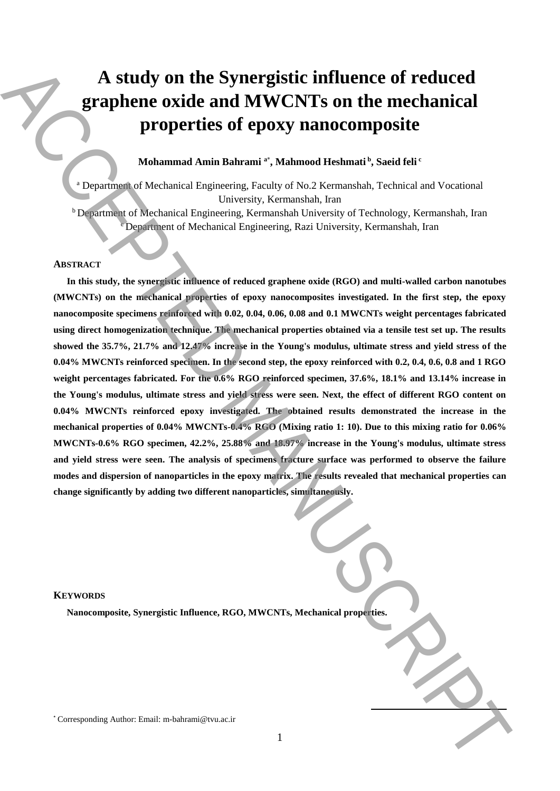# **A study on the Synergistic influence of reduced graphene oxide and MWCNTs on the mechanical properties of epoxy nanocomposite**

## **Mohammad Amin Bahrami <sup>a</sup>**\* **, Mahmood Heshmati <sup>b</sup> , Saeid feli <sup>c</sup>**

<sup>a</sup> Department of Mechanical Engineering, Faculty of No.2 Kermanshah, Technical and Vocational University, Kermanshah, Iran

 $b$  Department of Mechanical Engineering, Kermanshah University of Technology, Kermanshah, Iran  $\epsilon$  Department of Mechanical Engineering, Razi University, Kermanshah, Iran

## **ABSTRACT**

**In this study, the synergistic influence of reduced graphene oxide (RGO) and multi-walled carbon nanotubes (MWCNTs) on the mechanical properties of epoxy nanocomposites investigated. In the first step, the epoxy nanocomposite specimens reinforced with 0.02, 0.04, 0.06, 0.08 and 0.1 MWCNTs weight percentages fabricated using direct homogenization technique. The mechanical properties obtained via a tensile test set up. The results showed the 35.7%, 21.7% and 12.47% increase in the Young's modulus, ultimate stress and yield stress of the 0.04% MWCNTs reinforced specimen. In the second step, the epoxy reinforced with 0.2, 0.4, 0.6, 0.8 and 1 RGO weight percentages fabricated. For the 0.6% RGO reinforced specimen, 37.6%, 18.1% and 13.14% increase in the Young's modulus, ultimate stress and yield stress were seen. Next, the effect of different RGO content on 0.04% MWCNTs reinforced epoxy investigated. The obtained results demonstrated the increase in the mechanical properties of 0.04% MWCNTs-0.4% RGO (Mixing ratio 1: 10). Due to this mixing ratio for 0.06% MWCNTs-0.6% RGO specimen, 42.2%, 25.88% and 18.97% increase in the Young's modulus, ultimate stress and yield stress were seen. The analysis of specimens fracture surface was performed to observe the failure modes and dispersion of nanoparticles in the epoxy matrix. The results revealed that mechanical properties can change significantly by adding two different nanoparticles, simultaneously.** A study on the Synergistic influence of reduced<br>prophetics of epoxy nanocomposite<br>properties of epoxy nanocomposite<br> $\sum_{\text{S} \in \mathbb{N}}$  Mohammad Author:  $\sum_{\text{S} \in \mathbb{N}}$  Mohammad Engineering Koaly of No.2 Sermandah, Tech

## **KEYWORDS**

**Nanocomposite, Synergistic Influence, RGO, MWCNTs, Mechanical properties.**

**.**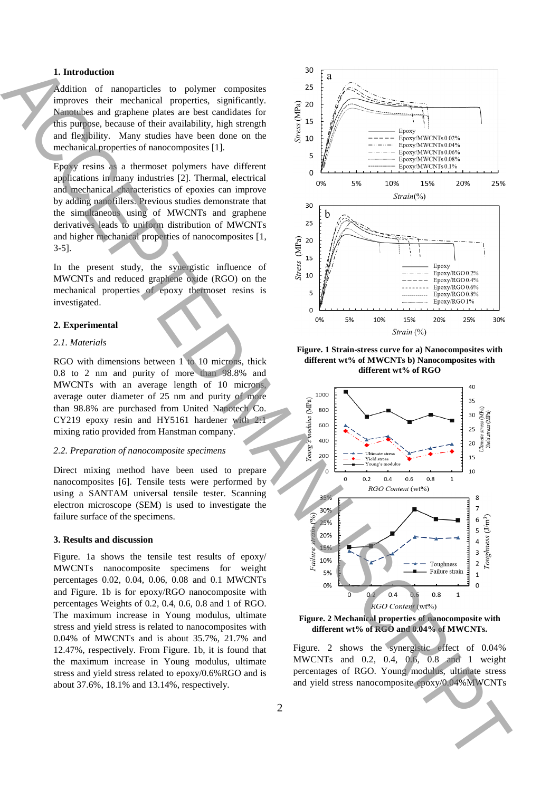## **1. Introduction**

Addition of nanoparticles to polymer composites improves their mechanical properties, significantly. Nanotubes and graphene plates are best candidates for this purpose, because of their availability, high strength and flexibility. Many studies have been done on the mechanical properties of nanocomposites [1].

Epoxy resins as a thermoset polymers have different applications in many industries [2]. Thermal, electrical and mechanical characteristics of epoxies can improve by adding nanofillers. Previous studies demonstrate that the simultaneous using of MWCNTs and graphene derivatives leads to uniform distribution of MWCNTs and higher mechanical properties of nanocomposites [1, 3-5].

In the present study, the synergistic influence of MWCNTs and reduced graphene oxide (RGO) on the mechanical properties of epoxy thermoset resins is investigated.

## **2. Experimental**

#### *2.1. Materials*

RGO with dimensions between 1 to 10 microns, thick 0.8 to 2 nm and purity of more than 98.8% and MWCNTs with an average length of 10 microns, average outer diameter of 25 nm and purity of more than 98.8% are purchased from United Nanotech Co. CY219 epoxy resin and HY5161 hardener with 2:1 mixing ratio provided from Hanstman company.

#### *2.2. Preparation of nanocomposite specimens*

Direct mixing method have been used to prepare nanocomposites [6]. Tensile tests were performed by using a SANTAM universal tensile tester. Scanning electron microscope (SEM) is used to investigate the failure surface of the specimens.

#### **3. Results and discussion**

Figure. 1a shows the tensile test results of epoxy/ MWCNTs nanocomposite specimens for weight percentages 0.02, 0.04, 0.06, 0.08 and 0.1 MWCNTs and Figure. 1b is for epoxy/RGO nanocomposite with percentages Weights of 0.2, 0.4, 0.6, 0.8 and 1 of RGO. The maximum increase in Young modulus, ultimate stress and yield stress is related to nanocomposites with 0.04% of MWCNTs and is about 35.7%, 21.7% and 12.47%, respectively. From Figure. 1b, it is found that the maximum increase in Young modulus, ultimate stress and yield stress related to epoxy/0.6%RGO and is about 37.6%, 18.1% and 13.14%, respectively.



**Figure. 1 Strain-stress curve for a) Nanocomposites with different wt% of MWCNTs b) Nanocomposites with different wt% of RGO**



**Figure. 2 Mechanical properties of nanocomposite with different wt% of RGO and 0.04% of MWCNTs.**

Figure. 2 shows the synergistic effect of 0.04% MWCNTs and 0.2, 0.4, 0.6, 0.8 and 1 weight percentages of RGO. Young modulus, ultimate stress